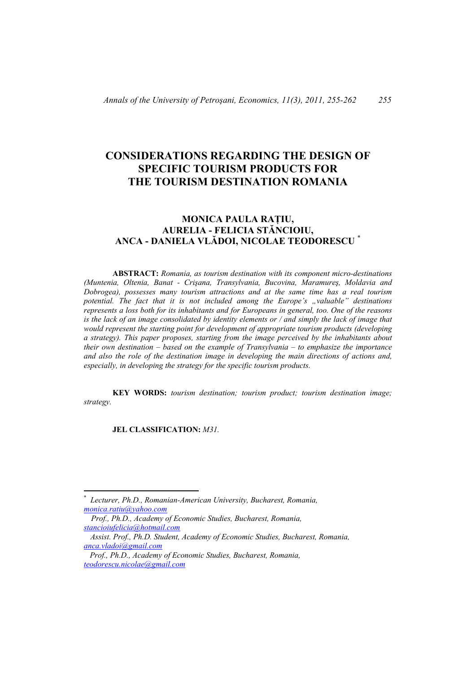# **CONSIDERATIONS REGARDING THE DESIGN OF SPECIFIC TOURISM PRODUCTS FOR THE TOURISM DESTINATION ROMANIA**

## **MONICA PAULA RAŢIU, AURELIA - FELICIA STĂNCIOIU, ANCA - DANIELA VLĂDOI, NICOLAE TEODORESCU** \*

 **ABSTRACT:** *Romania, as tourism destination with its component micro-destinations (Muntenia, Oltenia, Banat - Crişana, Transylvania, Bucovina, Maramureş, Moldavia and Dobrogea), possesses many tourism attractions and at the same time has a real tourism*  potential. The fact that it is not included among the Europe's "valuable" destinations *represents a loss both for its inhabitants and for Europeans in general, too. One of the reasons is the lack of an image consolidated by identity elements or / and simply the lack of image that would represent the starting point for development of appropriate tourism products (developing a strategy). This paper proposes, starting from the image perceived by the inhabitants about their own destination – based on the example of Transylvania – to emphasize the importance and also the role of the destination image in developing the main directions of actions and, especially, in developing the strategy for the specific tourism products.* 

 **KEY WORDS:** *tourism destination; tourism product; tourism destination image; strategy.*

 **JEL CLASSIFICATION:** *M31.*

 *Prof., Ph.D., Academy of Economic Studies, Bucharest, Romania, stancioiufelicia@hotmail.com*

<sup>\*</sup> *Lecturer, Ph.D., Romanian-American University, Bucharest, Romania, monica.ratiu@yahoo.com*

*Assist. Prof., Ph.D. Student, Academy of Economic Studies, Bucharest, Romania, anca.vladoi@gmail.com*

*Prof., Ph.D., Academy of Economic Studies, Bucharest, Romania, teodorescu.nicolae@gmail.com*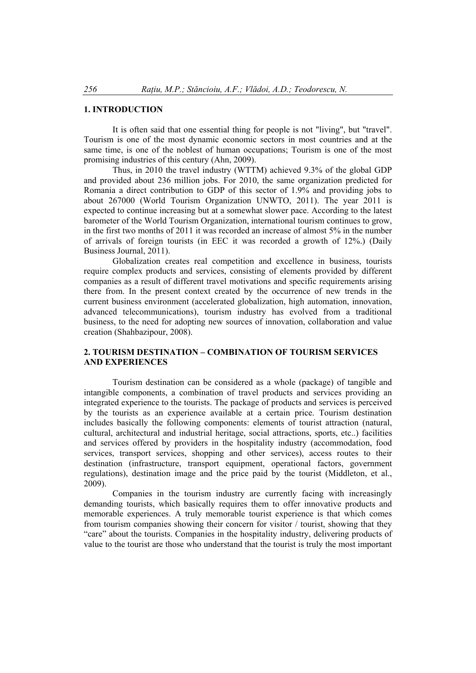#### **1. INTRODUCTION**

 It is often said that one essential thing for people is not "living", but "travel". Tourism is one of the most dynamic economic sectors in most countries and at the same time, is one of the noblest of human occupations; Tourism is one of the most promising industries of this century (Ahn, 2009).

 Thus, in 2010 the travel industry (WTTM) achieved 9.3% of the global GDP and provided about 236 million jobs. For 2010, the same organization predicted for Romania a direct contribution to GDP of this sector of 1.9% and providing jobs to about 267000 (World Tourism Organization UNWTO, 2011). The year 2011 is expected to continue increasing but at a somewhat slower pace. According to the latest barometer of the World Tourism Organization, international tourism continues to grow, in the first two months of 2011 it was recorded an increase of almost 5% in the number of arrivals of foreign tourists (in EEC it was recorded a growth of 12%.) (Daily Business Journal, 2011).

 Globalization creates real competition and excellence in business, tourists require complex products and services, consisting of elements provided by different companies as a result of different travel motivations and specific requirements arising there from. In the present context created by the occurrence of new trends in the current business environment (accelerated globalization, high automation, innovation, advanced telecommunications), tourism industry has evolved from a traditional business, to the need for adopting new sources of innovation, collaboration and value creation (Shahbazipour, 2008).

#### **2. TOURISM DESTINATION – COMBINATION OF TOURISM SERVICES AND EXPERIENCES**

Tourism destination can be considered as a whole (package) of tangible and intangible components, a combination of travel products and services providing an integrated experience to the tourists. The package of products and services is perceived by the tourists as an experience available at a certain price. Tourism destination includes basically the following components: elements of tourist attraction (natural, cultural, architectural and industrial heritage, social attractions, sports, etc..) facilities and services offered by providers in the hospitality industry (accommodation, food services, transport services, shopping and other services), access routes to their destination (infrastructure, transport equipment, operational factors, government regulations), destination image and the price paid by the tourist (Middleton, et al., 2009).

Companies in the tourism industry are currently facing with increasingly demanding tourists, which basically requires them to offer innovative products and memorable experiences. A truly memorable tourist experience is that which comes from tourism companies showing their concern for visitor / tourist, showing that they "care" about the tourists. Companies in the hospitality industry, delivering products of value to the tourist are those who understand that the tourist is truly the most important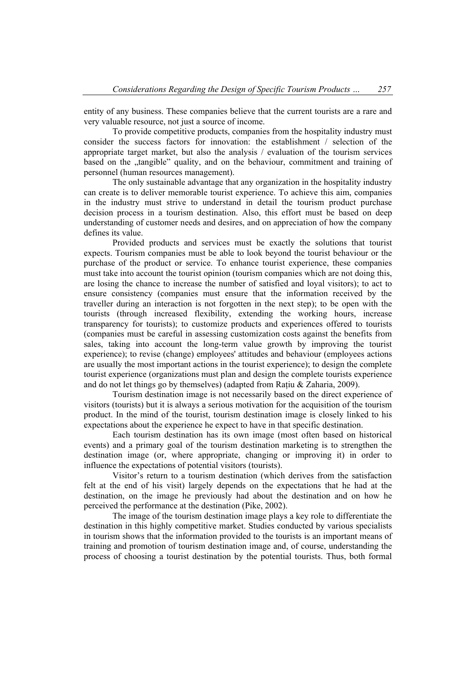entity of any business. These companies believe that the current tourists are a rare and very valuable resource, not just a source of income.

To provide competitive products, companies from the hospitality industry must consider the success factors for innovation: the establishment / selection of the appropriate target market, but also the analysis / evaluation of the tourism services based on the "tangible" quality, and on the behaviour, commitment and training of personnel (human resources management).

The only sustainable advantage that any organization in the hospitality industry can create is to deliver memorable tourist experience. To achieve this aim, companies in the industry must strive to understand in detail the tourism product purchase decision process in a tourism destination. Also, this effort must be based on deep understanding of customer needs and desires, and on appreciation of how the company defines its value.

Provided products and services must be exactly the solutions that tourist expects. Tourism companies must be able to look beyond the tourist behaviour or the purchase of the product or service. To enhance tourist experience, these companies must take into account the tourist opinion (tourism companies which are not doing this, are losing the chance to increase the number of satisfied and loyal visitors); to act to ensure consistency (companies must ensure that the information received by the traveller during an interaction is not forgotten in the next step); to be open with the tourists (through increased flexibility, extending the working hours, increase transparency for tourists); to customize products and experiences offered to tourists (companies must be careful in assessing customization costs against the benefits from sales, taking into account the long-term value growth by improving the tourist experience); to revise (change) employees' attitudes and behaviour (employees actions are usually the most important actions in the tourist experience); to design the complete tourist experience (organizations must plan and design the complete tourists experience and do not let things go by themselves) (adapted from Ratiu & Zaharia, 2009).

Tourism destination image is not necessarily based on the direct experience of visitors (tourists) but it is always a serious motivation for the acquisition of the tourism product. In the mind of the tourist, tourism destination image is closely linked to his expectations about the experience he expect to have in that specific destination.

Each tourism destination has its own image (most often based on historical events) and a primary goal of the tourism destination marketing is to strengthen the destination image (or, where appropriate, changing or improving it) in order to influence the expectations of potential visitors (tourists).

Visitor's return to a tourism destination (which derives from the satisfaction felt at the end of his visit) largely depends on the expectations that he had at the destination, on the image he previously had about the destination and on how he perceived the performance at the destination (Pike, 2002).

The image of the tourism destination image plays a key role to differentiate the destination in this highly competitive market. Studies conducted by various specialists in tourism shows that the information provided to the tourists is an important means of training and promotion of tourism destination image and, of course, understanding the process of choosing a tourist destination by the potential tourists. Thus, both formal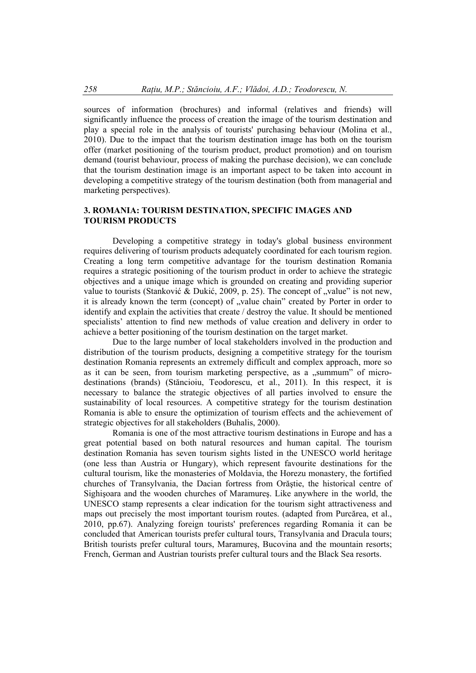sources of information (brochures) and informal (relatives and friends) will significantly influence the process of creation the image of the tourism destination and play a special role in the analysis of tourists' purchasing behaviour (Molina et al., 2010). Due to the impact that the tourism destination image has both on the tourism offer (market positioning of the tourism product, product promotion) and on tourism demand (tourist behaviour, process of making the purchase decision), we can conclude that the tourism destination image is an important aspect to be taken into account in developing a competitive strategy of the tourism destination (both from managerial and marketing perspectives).

### **3. ROMANIA: TOURISM DESTINATION, SPECIFIC IMAGES AND TOURISM PRODUCTS**

Developing a competitive strategy in today's global business environment requires delivering of tourism products adequately coordinated for each tourism region. Creating a long term competitive advantage for the tourism destination Romania requires a strategic positioning of the tourism product in order to achieve the strategic objectives and a unique image which is grounded on creating and providing superior value to tourists (Stanković & Dukić, 2009, p. 25). The concept of "value" is not new, it is already known the term (concept) of "value chain" created by Porter in order to identify and explain the activities that create / destroy the value. It should be mentioned specialists' attention to find new methods of value creation and delivery in order to achieve a better positioning of the tourism destination on the target market.

Due to the large number of local stakeholders involved in the production and distribution of the tourism products, designing a competitive strategy for the tourism destination Romania represents an extremely difficult and complex approach, more so as it can be seen, from tourism marketing perspective, as a "summum" of microdestinations (brands) (Stăncioiu, Teodorescu, et al., 2011). In this respect, it is necessary to balance the strategic objectives of all parties involved to ensure the sustainability of local resources. A competitive strategy for the tourism destination Romania is able to ensure the optimization of tourism effects and the achievement of strategic objectives for all stakeholders (Buhalis, 2000).

Romania is one of the most attractive tourism destinations in Europe and has a great potential based on both natural resources and human capital. The tourism destination Romania has seven tourism sights listed in the UNESCO world heritage (one less than Austria or Hungary), which represent favourite destinations for the cultural tourism, like the monasteries of Moldavia, the Horezu monastery, the fortified churches of Transylvania, the Dacian fortress from Orăştie, the historical centre of Sighişoara and the wooden churches of Maramureş. Like anywhere in the world, the UNESCO stamp represents a clear indication for the tourism sight attractiveness and maps out precisely the most important tourism routes. (adapted from Purcărea, et al., 2010, pp.67). Analyzing foreign tourists' preferences regarding Romania it can be concluded that American tourists prefer cultural tours, Transylvania and Dracula tours; British tourists prefer cultural tours, Maramureş, Bucovina and the mountain resorts; French, German and Austrian tourists prefer cultural tours and the Black Sea resorts.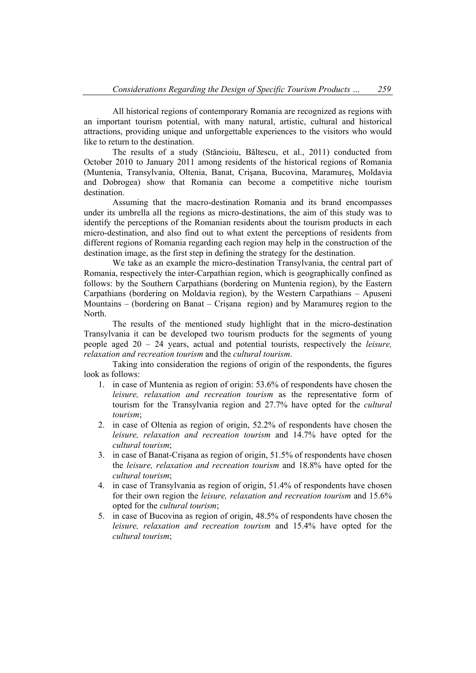All historical regions of contemporary Romania are recognized as regions with an important tourism potential, with many natural, artistic, cultural and historical attractions, providing unique and unforgettable experiences to the visitors who would like to return to the destination.

The results of a study (Stăncioiu, Băltescu, et al., 2011) conducted from October 2010 to January 2011 among residents of the historical regions of Romania (Muntenia, Transylvania, Oltenia, Banat, Crişana, Bucovina, Maramureş, Moldavia and Dobrogea) show that Romania can become a competitive niche tourism destination.

Assuming that the macro-destination Romania and its brand encompasses under its umbrella all the regions as micro-destinations, the aim of this study was to identify the perceptions of the Romanian residents about the tourism products in each micro-destination, and also find out to what extent the perceptions of residents from different regions of Romania regarding each region may help in the construction of the destination image, as the first step in defining the strategy for the destination.

We take as an example the micro-destination Transylvania, the central part of Romania, respectively the inter-Carpathian region, which is geographically confined as follows: by the Southern Carpathians (bordering on Muntenia region), by the Eastern Carpathians (bordering on Moldavia region), by the Western Carpathians – Apuseni Mountains – (bordering on Banat – Crişana region) and by Maramureş region to the North.

The results of the mentioned study highlight that in the micro-destination Transylvania it can be developed two tourism products for the segments of young people aged 20 – 24 years, actual and potential tourists, respectively the *leisure, relaxation and recreation tourism* and the *cultural tourism*.

Taking into consideration the regions of origin of the respondents, the figures look as follows:

- 1. in case of Muntenia as region of origin: 53.6% of respondents have chosen the *leisure, relaxation and recreation tourism* as the representative form of tourism for the Transylvania region and 27.7% have opted for the *cultural tourism*;
- 2. in case of Oltenia as region of origin, 52.2% of respondents have chosen the *leisure, relaxation and recreation tourism* and 14.7% have opted for the *cultural tourism*;
- 3. in case of Banat-Crişana as region of origin, 51.5% of respondents have chosen the *leisure, relaxation and recreation tourism* and 18.8% have opted for the *cultural tourism*;
- 4. in case of Transylvania as region of origin, 51.4% of respondents have chosen for their own region the *leisure, relaxation and recreation tourism* and 15.6% opted for the *cultural tourism*;
- 5. in case of Bucovina as region of origin, 48.5% of respondents have chosen the *leisure, relaxation and recreation tourism* and 15.4% have opted for the *cultural tourism*;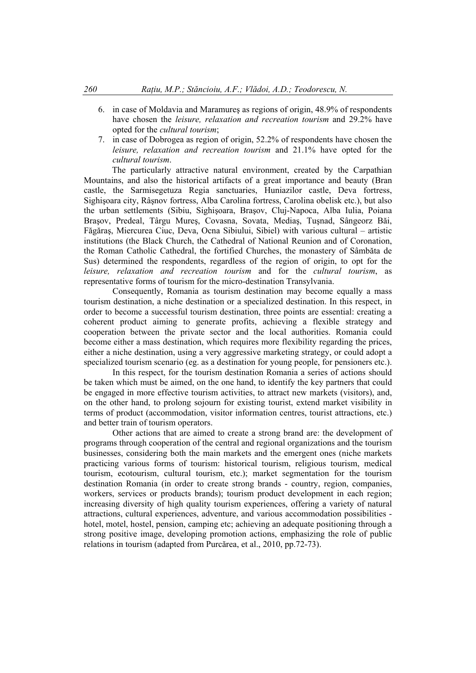- 6. in case of Moldavia and Maramureş as regions of origin, 48.9% of respondents have chosen the *leisure, relaxation and recreation tourism* and 29.2% have opted for the *cultural tourism*;
- 7. in case of Dobrogea as region of origin, 52.2% of respondents have chosen the *leisure, relaxation and recreation tourism* and 21.1% have opted for the *cultural tourism*.

The particularly attractive natural environment, created by the Carpathian Mountains, and also the historical artifacts of a great importance and beauty (Bran castle, the Sarmisegetuza Regia sanctuaries, Huniazilor castle, Deva fortress, Sighişoara city, Râşnov fortress, Alba Carolina fortress, Carolina obelisk etc.), but also the urban settlements (Sibiu, Sighişoara, Braşov, Cluj-Napoca, Alba Iulia, Poiana Braşov, Predeal, Târgu Mureş, Covasna, Sovata, Mediaş, Tuşnad, Sângeorz Băi, Făgăraş, Miercurea Ciuc, Deva, Ocna Sibiului, Sibiel) with various cultural – artistic institutions (the Black Church, the Cathedral of National Reunion and of Coronation, the Roman Catholic Cathedral, the fortified Churches, the monastery of Sâmbăta de Sus) determined the respondents, regardless of the region of origin, to opt for the *leisure, relaxation and recreation tourism* and for the *cultural tourism*, as representative forms of tourism for the micro-destination Transylvania.

Consequently, Romania as tourism destination may become equally a mass tourism destination, a niche destination or a specialized destination. In this respect, in order to become a successful tourism destination, three points are essential: creating a coherent product aiming to generate profits, achieving a flexible strategy and cooperation between the private sector and the local authorities. Romania could become either a mass destination, which requires more flexibility regarding the prices, either a niche destination, using a very aggressive marketing strategy, or could adopt a specialized tourism scenario (eg. as a destination for young people, for pensioners etc.).

In this respect, for the tourism destination Romania a series of actions should be taken which must be aimed, on the one hand, to identify the key partners that could be engaged in more effective tourism activities, to attract new markets (visitors), and, on the other hand, to prolong sojourn for existing tourist, extend market visibility in terms of product (accommodation, visitor information centres, tourist attractions, etc.) and better train of tourism operators.

 Other actions that are aimed to create a strong brand are: the development of programs through cooperation of the central and regional organizations and the tourism businesses, considering both the main markets and the emergent ones (niche markets practicing various forms of tourism: historical tourism, religious tourism, medical tourism, ecotourism, cultural tourism, etc.); market segmentation for the tourism destination Romania (in order to create strong brands - country, region, companies, workers, services or products brands); tourism product development in each region; increasing diversity of high quality tourism experiences, offering a variety of natural attractions, cultural experiences, adventure, and various accommodation possibilities hotel, motel, hostel, pension, camping etc; achieving an adequate positioning through a strong positive image, developing promotion actions, emphasizing the role of public relations in tourism (adapted from Purcărea, et al., 2010, pp.72-73).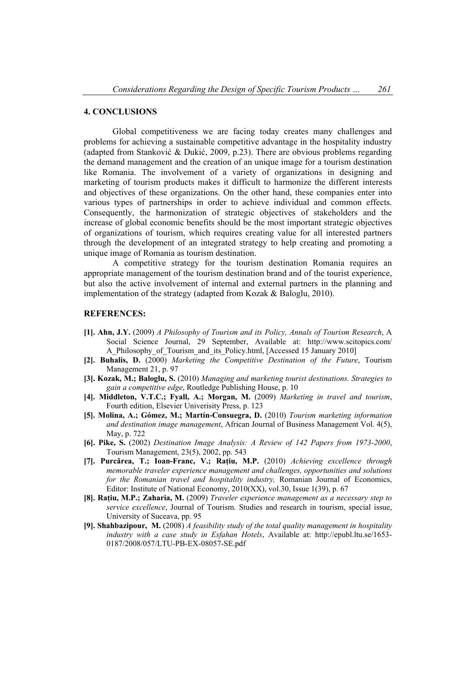### **4. CONCLUSIONS**

Global competitiveness we are facing today creates many challenges and problems for achieving a sustainable competitive advantage in the hospitality industry (adapted from Stanković & Dukić, 2009, p.23). There are obvious problems regarding the demand management and the creation of an unique image for a tourism destination like Romania. The involvement of a variety of organizations in designing and marketing of tourism products makes it difficult to harmonize the different interests and objectives of these organizations. On the other hand, these companies enter into various types of partnerships in order to achieve individual and common effects. Consequently, the harmonization of strategic objectives of stakeholders and the increase of global economic benefits should be the most important strategic objectives of organizations of tourism, which requires creating value for all interested partners through the development of an integrated strategy to help creating and promoting a unique image of Romania as tourism destination.

A competitive strategy for the tourism destination Romania requires an appropriate management of the tourism destination brand and of the tourist experience, but also the active involvement of internal and external partners in the planning and implementation of the strategy (adapted from Kozak & Baloglu, 2010).

#### **REFERENCES:**

- **[1]. Ahn, J.Y.** (2009) *A Philosophy of Tourism and its Policy, Annals of Tourism Research*, A Social Science Journal, 29 September, Available at: http://www.scitopics.com/ A\_Philosophy\_of\_Tourism\_and\_its\_Policy.html, [Accessed 15 January 2010]
- **[2]. Buhalis, D.** (2000) *Marketing the Competitive Destination of the Future*, Tourism Management 21, p. 97
- **[3]. Kozak, M.; Baloglu, S.** (2010) *Managing and marketing tourist destinations. Strategies to gain a competitive edge*, Routledge Publishing House, p. 10
- **[4]. Middleton, V.T.C.; Fyall, A.; Morgan, M.** (2009) *Marketing in travel and tourism*, Fourth edition, Elsevier Univerisity Press, p. 123
- **[5]. Molina, A.; Gómez, M.; Martín-Consuegra, D.** (2010) *Tourism marketing information and destination image management*, African Journal of Business Management Vol. 4(5), May, p. 722
- **[6]. Pike, S.** (2002) *Destination Image Analysis: A Review of 142 Papers from 1973-2000*, Tourism Management, 23(5), 2002, pp. 543
- **[7]. Purcărea, T.; Ioan-Franc, V.; Raţiu, M.P.** (2010) *Achieving excellence through memorable traveler experience management and challenges, opportunities and solutions for the Romanian travel and hospitality industry,* Romanian Journal of Economics, Editor: Institute of National Economy, 2010(XX), vol.30, Issue 1(39), p. 67
- **[8]. Raţiu, M.P.; Zaharia, M.** (2009) *Traveler experience management as a necessary step to service excellence*, Journal of Tourism. Studies and research in tourism, special issue, University of Suceava, pp. 95
- **[9]. Shahbazipour, M.** (2008) *A feasibility study of the total quality management in hospitality industry with a case study in Esfahan Hotels*, Available at: http://epubl.ltu.se/1653- 0187/2008/057/LTU-PB-EX-08057-SE.pdf